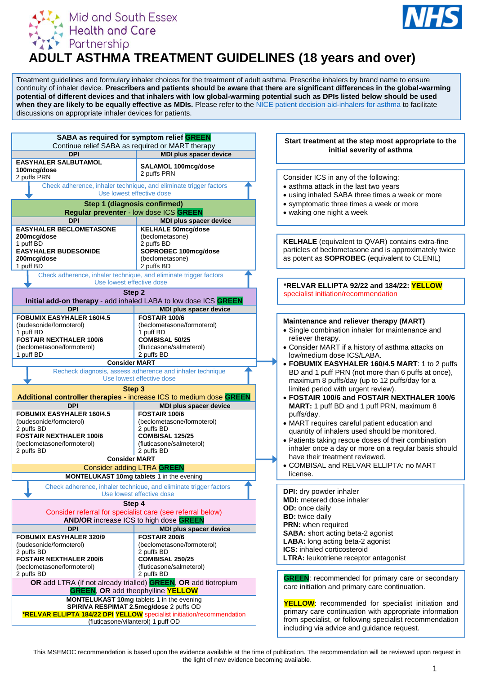



# **ADULT ASTHMA TREATMENT GUIDELINES (18 years and over)**

Treatment guidelines and formulary inhaler choices for the treatment of adult asthma. Prescribe inhalers by brand name to ensure continuity of inhaler device. **Prescribers and patients should be aware that there are significant differences in the global-warming potential of different devices and that inhalers with low global-warming potential such as DPIs listed below should be used when they are likely to be equally effective as MDIs.** Please refer to the [NICE patient decision aid-inhalers for asthma](https://www.nice.org.uk/guidance/ng80/resources/inhalers-for-asthma-patient-decision-aid-pdf-6727144573) to facilitate discussions on appropriate inhaler devices for patients.



This MSEMOC recommendation is based upon the evidence available at the time of publication. The recommendation will be reviewed upon request in the light of new evidence becoming available.